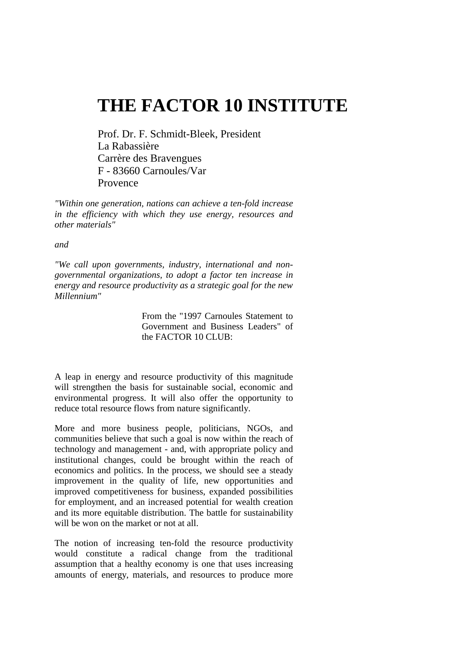## **THE FACTOR 10 INSTITUTE**

Prof. Dr. F. Schmidt-Bleek, President La Rabassière Carrère des Bravengues F - 83660 Carnoules/Var Provence

*"Within one generation, nations can achieve a ten-fold increase in the efficiency with which they use energy, resources and other materials"*

*and*

*"We call upon governments, industry, international and nongovernmental organizations, to adopt a factor ten increase in energy and resource productivity as a strategic goal for the new Millennium"*

> From the "1997 Carnoules Statement to Government and Business Leaders" of the FACTOR 10 CLUB:

A leap in energy and resource productivity of this magnitude will strengthen the basis for sustainable social, economic and environmental progress. It will also offer the opportunity to reduce total resource flows from nature significantly.

More and more business people, politicians, NGOs, and communities believe that such a goal is now within the reach of technology and management - and, with appropriate policy and institutional changes, could be brought within the reach of economics and politics. In the process, we should see a steady improvement in the quality of life, new opportunities and improved competitiveness for business, expanded possibilities for employment, and an increased potential for wealth creation and its more equitable distribution. The battle for sustainability will be won on the market or not at all.

The notion of increasing ten-fold the resource productivity would constitute a radical change from the traditional assumption that a healthy economy is one that uses increasing amounts of energy, materials, and resources to produce more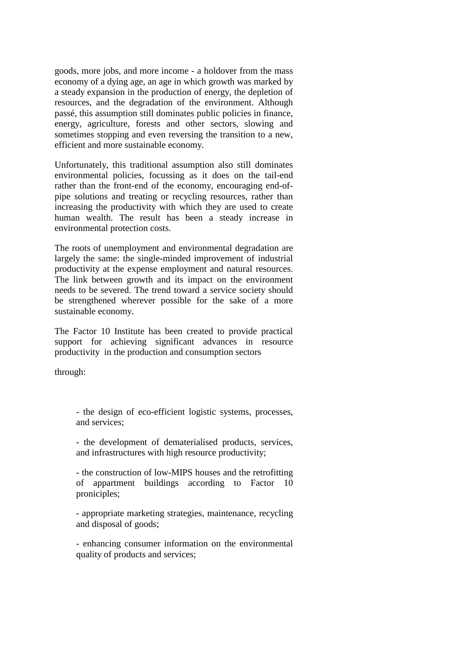goods, more jobs, and more income - a holdover from the mass economy of a dying age, an age in which growth was marked by a steady expansion in the production of energy, the depletion of resources, and the degradation of the environment. Although passé, this assumption still dominates public policies in finance, energy, agriculture, forests and other sectors, slowing and sometimes stopping and even reversing the transition to a new, efficient and more sustainable economy.

Unfortunately, this traditional assumption also still dominates environmental policies, focussing as it does on the tail-end rather than the front-end of the economy, encouraging end-ofpipe solutions and treating or recycling resources, rather than increasing the productivity with which they are used to create human wealth. The result has been a steady increase in environmental protection costs.

The roots of unemployment and environmental degradation are largely the same: the single-minded improvement of industrial productivity at the expense employment and natural resources. The link between growth and its impact on the environment needs to be severed. The trend toward a service society should be strengthened wherever possible for the sake of a more sustainable economy.

The Factor 10 Institute has been created to provide practical support for achieving significant advances in resource productivity in the production and consumption sectors

through:

- the design of eco-efficient logistic systems, processes, and services;

- the development of dematerialised products, services, and infrastructures with high resource productivity;

- the construction of low-MIPS houses and the retrofitting of appartment buildings according to Factor 10 proniciples;

- appropriate marketing strategies, maintenance, recycling and disposal of goods;

- enhancing consumer information on the environmental quality of products and services;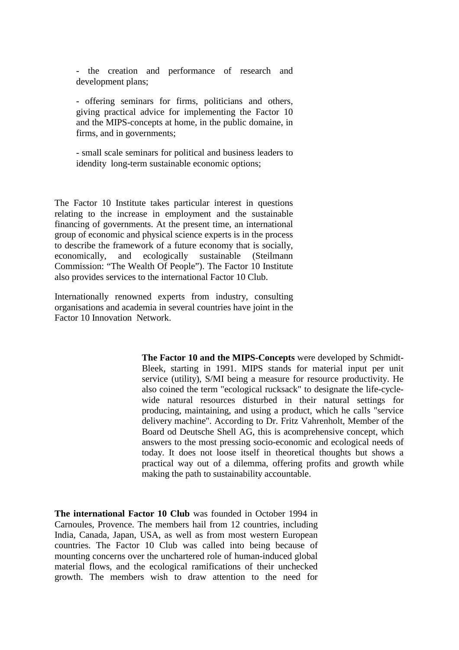- the creation and performance of research and development plans;

- offering seminars for firms, politicians and others, giving practical advice for implementing the Factor 10 and the MIPS-concepts at home, in the public domaine, in firms, and in governments;

- small scale seminars for political and business leaders to idendity long-term sustainable economic options;

The Factor 10 Institute takes particular interest in questions relating to the increase in employment and the sustainable financing of governments. At the present time, an international group of economic and physical science experts is in the process to describe the framework of a future economy that is socially, economically, and ecologically sustainable (Steilmann Commission: "The Wealth Of People"). The Factor 10 Institute also provides services to the international Factor 10 Club.

Internationally renowned experts from industry, consulting organisations and academia in several countries have joint in the Factor 10 Innovation Network.

> **The Factor 10 and the MIPS-Concepts** were developed by Schmidt-Bleek, starting in 1991. MIPS stands for material input per unit service (utility), S/MI being a measure for resource productivity. He also coined the term "ecological rucksack" to designate the life-cyclewide natural resources disturbed in their natural settings for producing, maintaining, and using a product, which he calls "service delivery machine". According to Dr. Fritz Vahrenholt, Member of the Board od Deutsche Shell AG, this is acomprehensive concept, which answers to the most pressing socio-economic and ecological needs of today. It does not loose itself in theoretical thoughts but shows a practical way out of a dilemma, offering profits and growth while making the path to sustainability accountable.

**The international Factor 10 Club** was founded in October 1994 in Carnoules, Provence. The members hail from 12 countries, including India, Canada, Japan, USA, as well as from most western European countries. The Factor 10 Club was called into being because of mounting concerns over the unchartered role of human-induced global material flows, and the ecological ramifications of their unchecked growth. The members wish to draw attention to the need for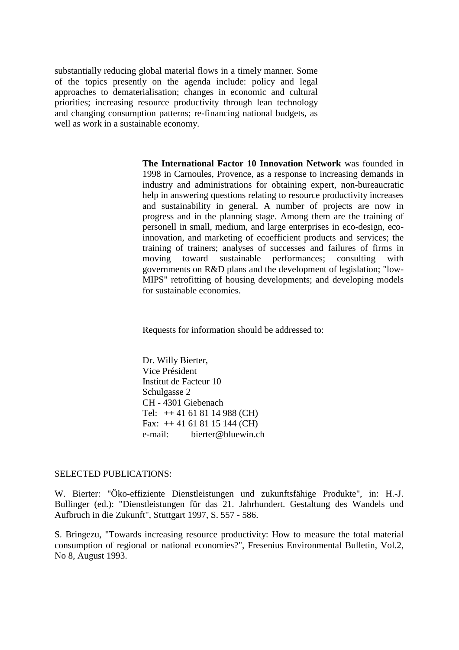substantially reducing global material flows in a timely manner. Some of the topics presently on the agenda include: policy and legal approaches to dematerialisation; changes in economic and cultural priorities; increasing resource productivity through lean technology and changing consumption patterns; re-financing national budgets, as well as work in a sustainable economy.

> **The International Factor 10 Innovation Network** was founded in 1998 in Carnoules, Provence, as a response to increasing demands in industry and administrations for obtaining expert, non-bureaucratic help in answering questions relating to resource productivity increases and sustainability in general. A number of projects are now in progress and in the planning stage. Among them are the training of personell in small, medium, and large enterprises in eco-design, ecoinnovation, and marketing of ecoefficient products and services; the training of trainers; analyses of successes and failures of firms in moving toward sustainable performances; consulting with governments on R&D plans and the development of legislation; "low-MIPS" retrofitting of housing developments; and developing models for sustainable economies.

Requests for information should be addressed to:

Dr. Willy Bierter, Vice Président Institut de Facteur 10 Schulgasse 2 CH - 4301 Giebenach Tel: ++ 41 61 81 14 988 (CH) Fax: ++ 41 61 81 15 144 (CH) e-mail: bierter@bluewin.ch

## SELECTED PUBLICATIONS:

W. Bierter: "Öko-effiziente Dienstleistungen und zukunftsfähige Produkte", in: H.-J. Bullinger (ed.): "Dienstleistungen für das 21. Jahrhundert. Gestaltung des Wandels und Aufbruch in die Zukunft", Stuttgart 1997, S. 557 - 586.

S. Bringezu, "Towards increasing resource productivity: How to measure the total material consumption of regional or national economies?", Fresenius Environmental Bulletin, Vol.2, No 8, August 1993.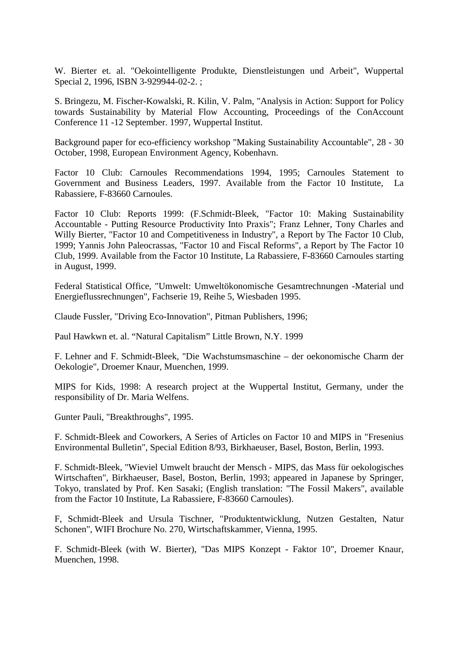W. Bierter et. al. "Oekointelligente Produkte, Dienstleistungen und Arbeit", Wuppertal Special 2, 1996, ISBN 3-929944-02-2. ;

S. Bringezu, M. Fischer-Kowalski, R. Kilin, V. Palm, "Analysis in Action: Support for Policy towards Sustainability by Material Flow Accounting, Proceedings of the ConAccount Conference 11 -12 September. 1997, Wuppertal Institut.

Background paper for eco-efficiency workshop "Making Sustainability Accountable", 28 - 30 October, 1998, European Environment Agency, Kobenhavn.

Factor 10 Club: Carnoules Recommendations 1994, 1995; Carnoules Statement to Government and Business Leaders, 1997. Available from the Factor 10 Institute, La Rabassiere, F-83660 Carnoules.

Factor 10 Club: Reports 1999: (F.Schmidt-Bleek, "Factor 10: Making Sustainability Accountable - Putting Resource Productivity Into Praxis"; Franz Lehner, Tony Charles and Willy Bierter, "Factor 10 and Competitiveness in Industry", a Report by The Factor 10 Club, 1999; Yannis John Paleocrassas, "Factor 10 and Fiscal Reforms", a Report by The Factor 10 Club, 1999. Available from the Factor 10 Institute, La Rabassiere, F-83660 Carnoules starting in August, 1999.

Federal Statistical Office, "Umwelt: Umweltökonomische Gesamtrechnungen -Material und Energieflussrechnungen", Fachserie 19, Reihe 5, Wiesbaden 1995.

Claude Fussler, "Driving Eco-Innovation", Pitman Publishers, 1996;

Paul Hawkwn et. al. "Natural Capitalism" Little Brown, N.Y. 1999

F. Lehner and F. Schmidt-Bleek, "Die Wachstumsmaschine – der oekonomische Charm der Oekologie", Droemer Knaur, Muenchen, 1999.

MIPS for Kids, 1998: A research project at the Wuppertal Institut, Germany, under the responsibility of Dr. Maria Welfens.

Gunter Pauli, "Breakthroughs", 1995.

F. Schmidt-Bleek and Coworkers, A Series of Articles on Factor 10 and MIPS in "Fresenius Environmental Bulletin", Special Edition 8/93, Birkhaeuser, Basel, Boston, Berlin, 1993.

F. Schmidt-Bleek, "Wieviel Umwelt braucht der Mensch - MIPS, das Mass für oekologisches Wirtschaften", Birkhaeuser, Basel, Boston, Berlin, 1993; appeared in Japanese by Springer, Tokyo, translated by Prof. Ken Sasaki; (English translation: "The Fossil Makers", available from the Factor 10 Institute, La Rabassiere, F-83660 Carnoules).

F, Schmidt-Bleek and Ursula Tischner, "Produktentwicklung, Nutzen Gestalten, Natur Schonen", WIFI Brochure No. 270, Wirtschaftskammer, Vienna, 1995.

F. Schmidt-Bleek (with W. Bierter), "Das MIPS Konzept - Faktor 10", Droemer Knaur, Muenchen, 1998.